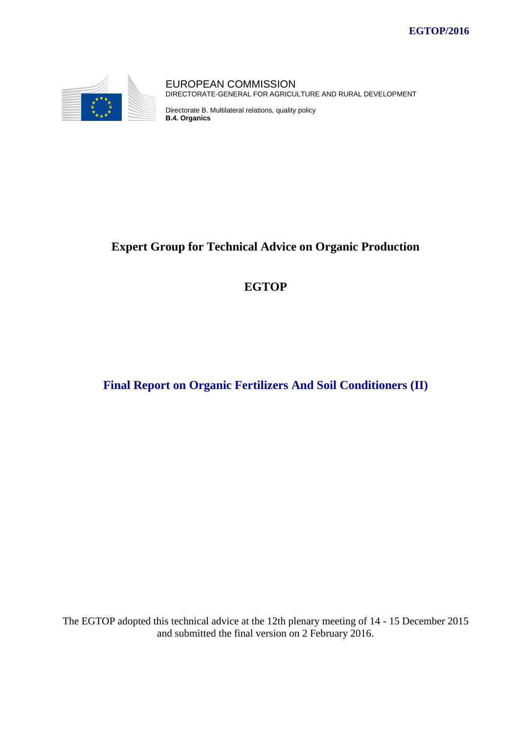

EUROPEAN COMMISSION DIRECTORATE-GENERAL FOR AGRICULTURE AND RURAL DEVELOPMENT

Directorate B. Multilateral relations, quality policy **B.4. Organics**

# **Expert Group for Technical Advice on Organic Production**

# **EGTOP**

# **Final Report on Organic Fertilizers And Soil Conditioners (II)**

The EGTOP adopted this technical advice at the 12th plenary meeting of 14 - 15 December 2015 and submitted the final version on 2 February 2016.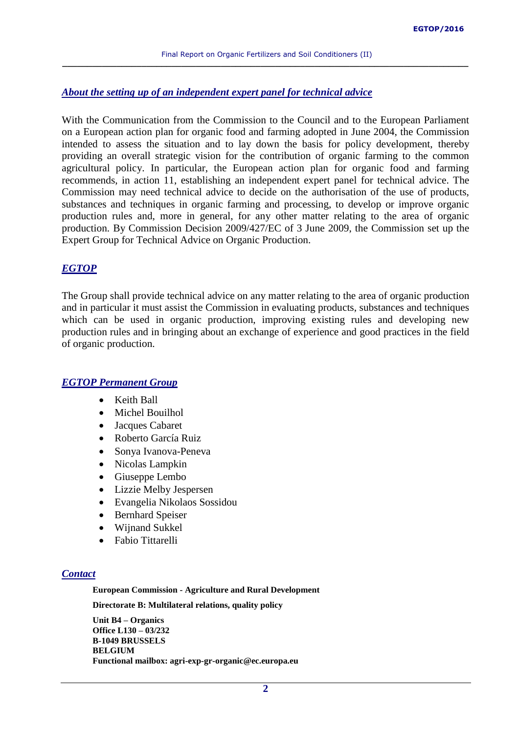#### *About the setting up of an independent expert panel for technical advice*

With the Communication from the Commission to the Council and to the European Parliament on a European action plan for organic food and farming adopted in June 2004, the Commission intended to assess the situation and to lay down the basis for policy development, thereby providing an overall strategic vision for the contribution of organic farming to the common agricultural policy. In particular, the European action plan for organic food and farming recommends, in action 11, establishing an independent expert panel for technical advice. The Commission may need technical advice to decide on the authorisation of the use of products, substances and techniques in organic farming and processing, to develop or improve organic production rules and, more in general, for any other matter relating to the area of organic production. By Commission Decision 2009/427/EC of 3 June 2009, the Commission set up the Expert Group for Technical Advice on Organic Production.

#### *EGTOP*

The Group shall provide technical advice on any matter relating to the area of organic production and in particular it must assist the Commission in evaluating products, substances and techniques which can be used in organic production, improving existing rules and developing new production rules and in bringing about an exchange of experience and good practices in the field of organic production.

#### *EGTOP Permanent Group*

- Keith Ball
- Michel Bouilhol
- Jacques Cabaret
- Roberto García Ruiz
- Sonya Ivanova-Peneva
- Nicolas Lampkin
- Giuseppe Lembo
- Lizzie Melby Jespersen
- Evangelia Nikolaos Sossidou
- Bernhard Speiser
- Wijnand Sukkel
- Fabio Tittarelli

#### *Contact*

**European Commission - Agriculture and Rural Development**

**Directorate B: Multilateral relations, quality policy**

**Unit B4 – Organics Office L130 – 03/232 B-1049 BRUSSELS BELGIUM Functional mailbox: agri-exp-gr-organic@ec.europa.eu**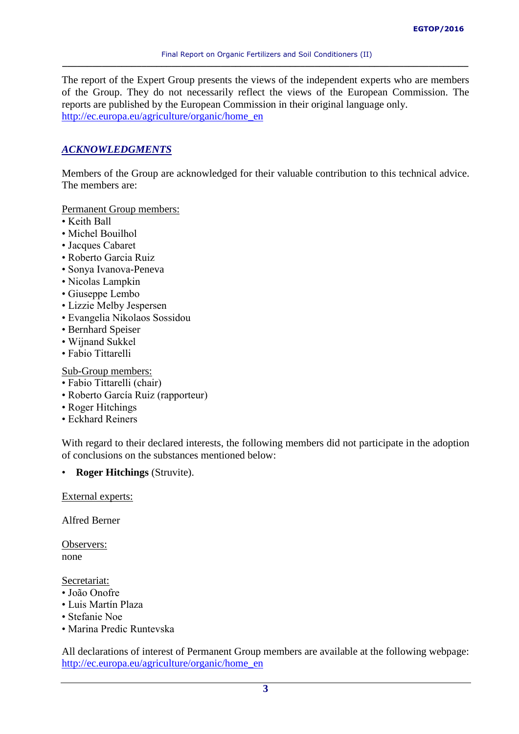The report of the Expert Group presents the views of the independent experts who are members of the Group. They do not necessarily reflect the views of the European Commission. The reports are published by the European Commission in their original language only. [http://ec.europa.eu/agriculture/organic/home\\_en](http://ec.europa.eu/agriculture/organic/home_en)

# *ACKNOWLEDGMENTS*

Members of the Group are acknowledged for their valuable contribution to this technical advice. The members are:

Permanent Group members:

- Keith Ball
- Michel Bouilhol
- Jacques Cabaret
- Roberto Garcia Ruiz
- Sonya Ivanova-Peneva
- Nicolas Lampkin
- Giuseppe Lembo
- Lizzie Melby Jespersen
- Evangelia Nikolaos Sossidou
- Bernhard Speiser
- Wijnand Sukkel
- Fabio Tittarelli

Sub-Group members:

- Fabio Tittarelli (chair)
- Roberto García Ruiz (rapporteur)
- Roger Hitchings
- Eckhard Reiners

With regard to their declared interests, the following members did not participate in the adoption of conclusions on the substances mentioned below:

• **Roger Hitchings** (Struvite).

External experts:

Alfred Berner

Observers: none

Secretariat:

- João Onofre
- Luis Martín Plaza
- Stefanie Noe
- Marina Predic Runtevska

All declarations of interest of Permanent Group members are available at the following webpage: [http://ec.europa.eu/agriculture/organic/home\\_en](http://ec.europa.eu/agriculture/organic/home_en)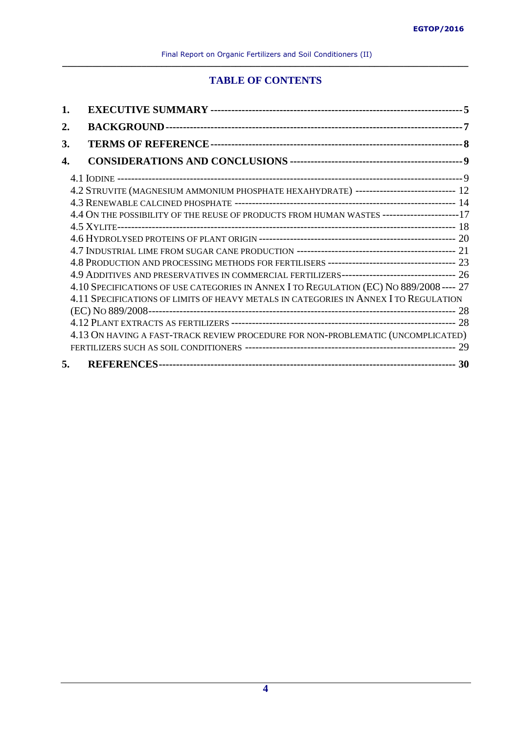# **TABLE OF CONTENTS**

| 2. |                                                                                              |  |
|----|----------------------------------------------------------------------------------------------|--|
| 3. |                                                                                              |  |
| 4. |                                                                                              |  |
|    |                                                                                              |  |
|    | 4.2 STRUVITE (MAGNESIUM AMMONIUM PHOSPHATE HEXAHYDRATE) ---------------------------- 12      |  |
|    |                                                                                              |  |
|    | 4.4 ON THE POSSIBILITY OF THE REUSE OF PRODUCTS FROM HUMAN WASTES ----------------------17   |  |
|    |                                                                                              |  |
|    |                                                                                              |  |
|    |                                                                                              |  |
|    |                                                                                              |  |
|    | 4.9 ADDITIVES AND PRESERVATIVES IN COMMERCIAL FERTILIZERS-------------------------------- 26 |  |
|    | 4.10 SPECIFICATIONS OF USE CATEGORIES IN ANNEX I TO REGULATION (EC) NO 889/2008 ---- 27      |  |
|    | 4.11 SPECIFICATIONS OF LIMITS OF HEAVY METALS IN CATEGORIES IN ANNEX I TO REGULATION         |  |
|    |                                                                                              |  |
|    |                                                                                              |  |
|    | 4.13 ON HAVING A FAST-TRACK REVIEW PROCEDURE FOR NON-PROBLEMATIC (UNCOMPLICATED)             |  |
|    |                                                                                              |  |
| 5. |                                                                                              |  |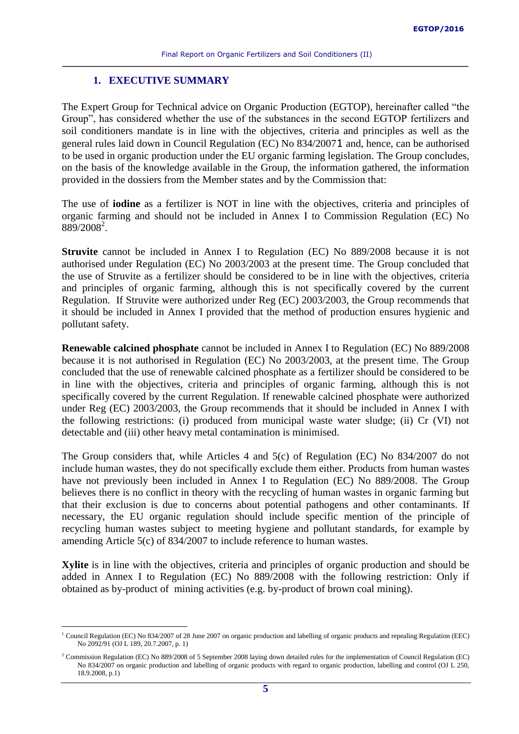### **1. EXECUTIVE SUMMARY**

<span id="page-4-0"></span>The Expert Group for Technical advice on Organic Production (EGTOP), hereinafter called "the Group", has considered whether the use of the substances in the second EGTOP fertilizers and soil conditioners mandate is in line with the objectives, criteria and principles as well as the general rules laid down in Council Regulation (EC) No 834/20071 and, hence, can be authorised to be used in organic production under the EU organic farming legislation. The Group concludes, on the basis of the knowledge available in the Group, the information gathered, the information provided in the dossiers from the Member states and by the Commission that:

The use of **iodine** as a fertilizer is NOT in line with the objectives, criteria and principles of organic farming and should not be included in Annex I to Commission Regulation (EC) No 889/2008<sup>2</sup>.

**Struvite** cannot be included in Annex I to Regulation (EC) No 889/2008 because it is not authorised under Regulation (EC) No 2003/2003 at the present time. The Group concluded that the use of Struvite as a fertilizer should be considered to be in line with the objectives, criteria and principles of organic farming, although this is not specifically covered by the current Regulation. If Struvite were authorized under Reg (EC) 2003/2003, the Group recommends that it should be included in Annex I provided that the method of production ensures hygienic and pollutant safety.

**Renewable calcined phosphate** cannot be included in Annex I to Regulation (EC) No 889/2008 because it is not authorised in Regulation (EC) No 2003/2003, at the present time. The Group concluded that the use of renewable calcined phosphate as a fertilizer should be considered to be in line with the objectives, criteria and principles of organic farming, although this is not specifically covered by the current Regulation. If renewable calcined phosphate were authorized under Reg (EC) 2003/2003, the Group recommends that it should be included in Annex I with the following restrictions: (i) produced from municipal waste water sludge; (ii) Cr (VI) not detectable and (iii) other heavy metal contamination is minimised.

The Group considers that, while Articles 4 and 5(c) of Regulation (EC) No 834/2007 do not include human wastes, they do not specifically exclude them either. Products from human wastes have not previously been included in Annex I to Regulation (EC) No 889/2008. The Group believes there is no conflict in theory with the recycling of human wastes in organic farming but that their exclusion is due to concerns about potential pathogens and other contaminants. If necessary, the EU organic regulation should include specific mention of the principle of recycling human wastes subject to meeting hygiene and pollutant standards, for example by amending Article 5(c) of 834/2007 to include reference to human wastes.

**Xylite** is in line with the objectives, criteria and principles of organic production and should be added in Annex I to Regulation (EC) No 889/2008 with the following restriction: Only if obtained as by-product of mining activities (e.g. by-product of brown coal mining).

 $\overline{a}$ 

<sup>&</sup>lt;sup>1</sup> Council Regulation (EC) No 834/2007 of 28 June 2007 on organic production and labelling of organic products and repealing Regulation (EEC) No 2092/91 (OJ L 189, 20.7.2007, p. 1)

<sup>&</sup>lt;sup>2</sup> Commission Regulation (EC) No 889/2008 of 5 September 2008 laying down detailed rules for the implementation of Council Regulation (EC) No 834/2007 on organic production and labelling of organic products with regard to organic production, labelling and control (OJ L 250, 18.9.2008, p.1)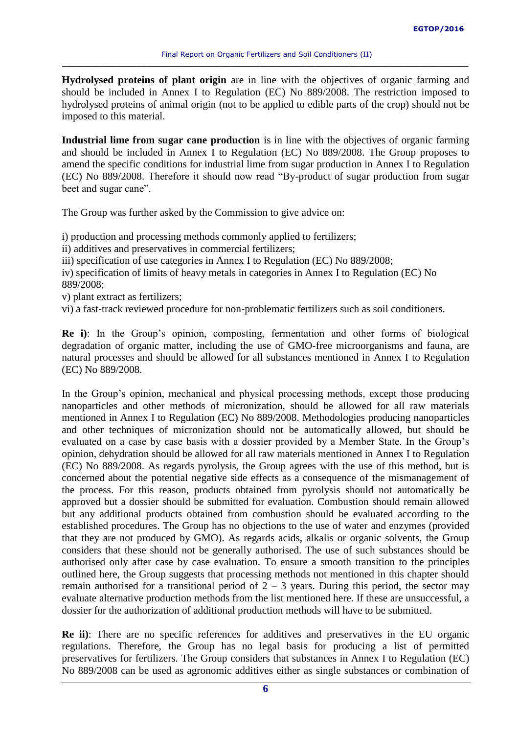**Hydrolysed proteins of plant origin** are in line with the objectives of organic farming and should be included in Annex I to Regulation (EC) No 889/2008. The restriction imposed to hydrolysed proteins of animal origin (not to be applied to edible parts of the crop) should not be imposed to this material.

**Industrial lime from sugar cane production** is in line with the objectives of organic farming and should be included in Annex I to Regulation (EC) No 889/2008. The Group proposes to amend the specific conditions for industrial lime from sugar production in Annex I to Regulation (EC) No 889/2008. Therefore it should now read "By-product of sugar production from sugar beet and sugar cane".

The Group was further asked by the Commission to give advice on:

i) production and processing methods commonly applied to fertilizers;

ii) additives and preservatives in commercial fertilizers;

iii) specification of use categories in Annex I to Regulation (EC) No 889/2008;

iv) specification of limits of heavy metals in categories in Annex I to Regulation (EC) No 889/2008;

v) plant extract as fertilizers;

vi) a fast-track reviewed procedure for non-problematic fertilizers such as soil conditioners.

**Re i)**: In the Group's opinion, composting, fermentation and other forms of biological degradation of organic matter, including the use of GMO-free microorganisms and fauna, are natural processes and should be allowed for all substances mentioned in Annex I to Regulation (EC) No 889/2008.

In the Group's opinion, mechanical and physical processing methods, except those producing nanoparticles and other methods of micronization, should be allowed for all raw materials mentioned in Annex I to Regulation (EC) No 889/2008. Methodologies producing nanoparticles and other techniques of micronization should not be automatically allowed, but should be evaluated on a case by case basis with a dossier provided by a Member State. In the Group's opinion, dehydration should be allowed for all raw materials mentioned in Annex I to Regulation (EC) No 889/2008. As regards pyrolysis, the Group agrees with the use of this method, but is concerned about the potential negative side effects as a consequence of the mismanagement of the process. For this reason, products obtained from pyrolysis should not automatically be approved but a dossier should be submitted for evaluation. Combustion should remain allowed but any additional products obtained from combustion should be evaluated according to the established procedures. The Group has no objections to the use of water and enzymes (provided that they are not produced by GMO). As regards acids, alkalis or organic solvents, the Group considers that these should not be generally authorised. The use of such substances should be authorised only after case by case evaluation. To ensure a smooth transition to the principles outlined here, the Group suggests that processing methods not mentioned in this chapter should remain authorised for a transitional period of  $2 - 3$  years. During this period, the sector may evaluate alternative production methods from the list mentioned here. If these are unsuccessful, a dossier for the authorization of additional production methods will have to be submitted.

**Re ii)**: There are no specific references for additives and preservatives in the EU organic regulations. Therefore, the Group has no legal basis for producing a list of permitted preservatives for fertilizers. The Group considers that substances in Annex I to Regulation (EC) No 889/2008 can be used as agronomic additives either as single substances or combination of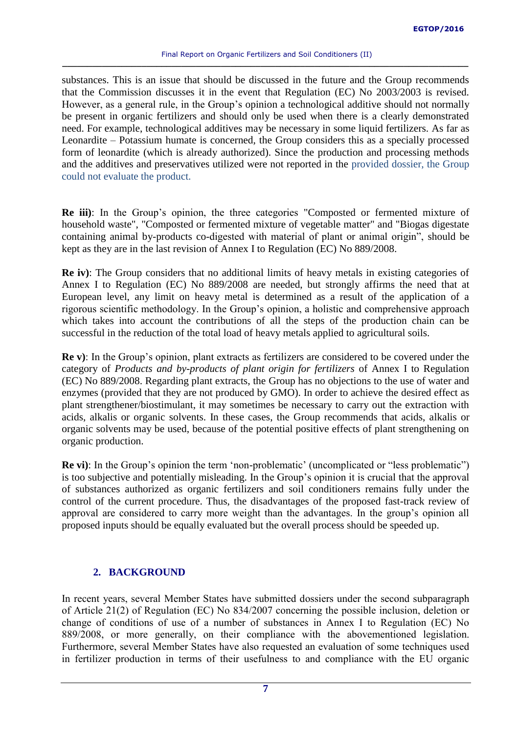substances. This is an issue that should be discussed in the future and the Group recommends that the Commission discusses it in the event that Regulation (EC) No 2003/2003 is revised. However, as a general rule, in the Group's opinion a technological additive should not normally be present in organic fertilizers and should only be used when there is a clearly demonstrated need. For example, technological additives may be necessary in some liquid fertilizers. As far as Leonardite – Potassium humate is concerned, the Group considers this as a specially processed form of leonardite (which is already authorized). Since the production and processing methods and the additives and preservatives utilized were not reported in the provided dossier, the Group could not evaluate the product.

**Re iii)**: In the Group's opinion, the three categories "Composted or fermented mixture of household waste", "Composted or fermented mixture of vegetable matter" and "Biogas digestate containing animal by-products co-digested with material of plant or animal origin", should be kept as they are in the last revision of Annex I to Regulation (EC) No 889/2008.

**Re iv)**: The Group considers that no additional limits of heavy metals in existing categories of Annex I to Regulation (EC) No 889/2008 are needed, but strongly affirms the need that at European level, any limit on heavy metal is determined as a result of the application of a rigorous scientific methodology. In the Group's opinion, a holistic and comprehensive approach which takes into account the contributions of all the steps of the production chain can be successful in the reduction of the total load of heavy metals applied to agricultural soils.

**Re v)**: In the Group's opinion, plant extracts as fertilizers are considered to be covered under the category of *Products and by-products of plant origin for fertilizers* of Annex I to Regulation (EC) No 889/2008. Regarding plant extracts, the Group has no objections to the use of water and enzymes (provided that they are not produced by GMO). In order to achieve the desired effect as plant strengthener/biostimulant, it may sometimes be necessary to carry out the extraction with acids, alkalis or organic solvents. In these cases, the Group recommends that acids, alkalis or organic solvents may be used, because of the potential positive effects of plant strengthening on organic production.

**Re vi)**: In the Group's opinion the term 'non-problematic' (uncomplicated or "less problematic") is too subjective and potentially misleading. In the Group's opinion it is crucial that the approval of substances authorized as organic fertilizers and soil conditioners remains fully under the control of the current procedure. Thus, the disadvantages of the proposed fast-track review of approval are considered to carry more weight than the advantages. In the group's opinion all proposed inputs should be equally evaluated but the overall process should be speeded up.

# <span id="page-6-0"></span>**2. BACKGROUND**

In recent years, several Member States have submitted dossiers under the second subparagraph of Article 21(2) of Regulation (EC) No 834/2007 concerning the possible inclusion, deletion or change of conditions of use of a number of substances in Annex I to Regulation (EC) No 889/2008, or more generally, on their compliance with the abovementioned legislation. Furthermore, several Member States have also requested an evaluation of some techniques used in fertilizer production in terms of their usefulness to and compliance with the EU organic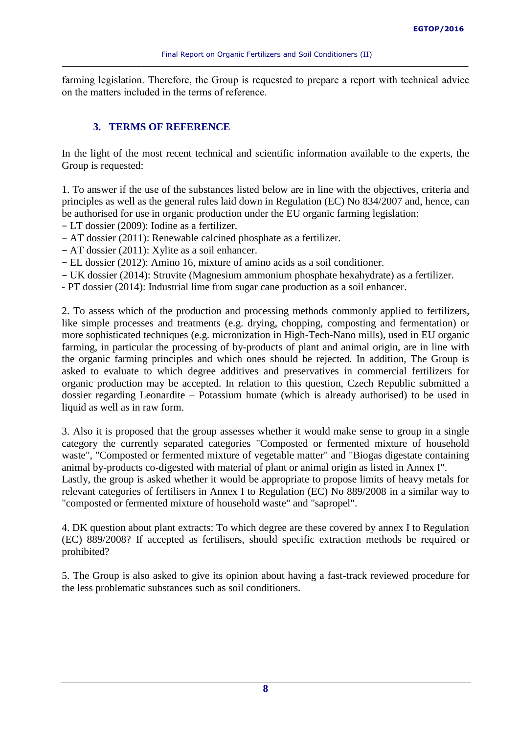farming legislation. Therefore, the Group is requested to prepare a report with technical advice on the matters included in the terms of reference.

# <span id="page-7-0"></span>**3. TERMS OF REFERENCE**

In the light of the most recent technical and scientific information available to the experts, the Group is requested:

1. To answer if the use of the substances listed below are in line with the objectives, criteria and principles as well as the general rules laid down in Regulation (EC) No 834/2007 and, hence, can be authorised for use in organic production under the EU organic farming legislation:

− LT dossier (2009): Iodine as a fertilizer.

- − AT dossier (2011): Renewable calcined phosphate as a fertilizer.
- − AT dossier (2011): Xylite as a soil enhancer.
- − EL dossier (2012): Amino 16, mixture of amino acids as a soil conditioner.
- − UK dossier (2014): Struvite (Magnesium ammonium phosphate hexahydrate) as a fertilizer.
- PT dossier (2014): Industrial lime from sugar cane production as a soil enhancer.

2. To assess which of the production and processing methods commonly applied to fertilizers, like simple processes and treatments (e.g. drying, chopping, composting and fermentation) or more sophisticated techniques (e.g. micronization in High-Tech-Nano mills), used in EU organic farming, in particular the processing of by-products of plant and animal origin, are in line with the organic farming principles and which ones should be rejected. In addition, The Group is asked to evaluate to which degree additives and preservatives in commercial fertilizers for organic production may be accepted. In relation to this question, Czech Republic submitted a dossier regarding Leonardite – Potassium humate (which is already authorised) to be used in liquid as well as in raw form.

3. Also it is proposed that the group assesses whether it would make sense to group in a single category the currently separated categories "Composted or fermented mixture of household waste", "Composted or fermented mixture of vegetable matter" and "Biogas digestate containing animal by-products co-digested with material of plant or animal origin as listed in Annex I".

Lastly, the group is asked whether it would be appropriate to propose limits of heavy metals for relevant categories of fertilisers in Annex I to Regulation (EC) No 889/2008 in a similar way to "composted or fermented mixture of household waste" and "sapropel".

4. DK question about plant extracts: To which degree are these covered by annex I to Regulation (EC) 889/2008? If accepted as fertilisers, should specific extraction methods be required or prohibited?

5. The Group is also asked to give its opinion about having a fast-track reviewed procedure for the less problematic substances such as soil conditioners.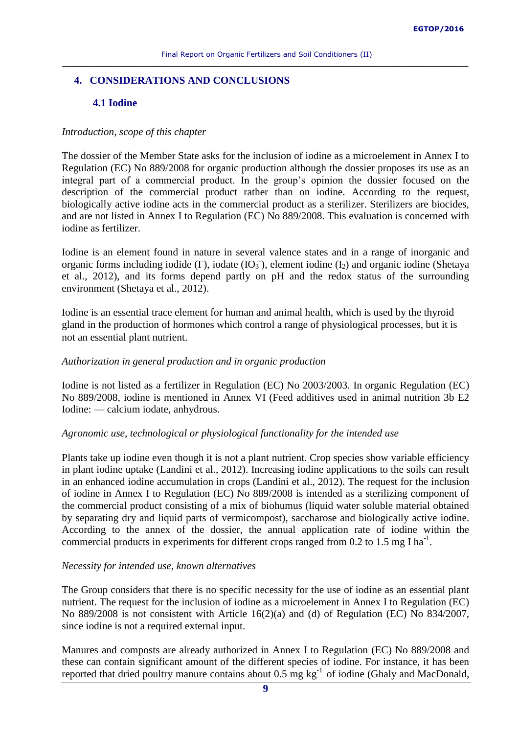# <span id="page-8-1"></span><span id="page-8-0"></span>**4. CONSIDERATIONS AND CONCLUSIONS**

# **4.1 Iodine**

# *Introduction, scope of this chapter*

The dossier of the Member State asks for the inclusion of iodine as a microelement in Annex I to Regulation (EC) No 889/2008 for organic production although the dossier proposes its use as an integral part of a commercial product. In the group's opinion the dossier focused on the description of the commercial product rather than on iodine. According to the request, biologically active iodine acts in the commercial product as a sterilizer. Sterilizers are biocides, and are not listed in Annex I to Regulation (EC) No 889/2008. This evaluation is concerned with iodine as fertilizer.

Iodine is an element found in nature in several valence states and in a range of inorganic and organic forms including iodide ( $I$ ), iodate ( $I$ O<sub>3</sub><sup>-</sup>), element iodine ( $I_2$ ) and organic iodine (Shetaya et al., 2012), and its forms depend partly on pH and the redox status of the surrounding environment (Shetaya et al., 2012).

Iodine is an essential trace element for human and animal health, which is used by the thyroid gland in the production of hormones which control a range of physiological processes, but it is not an essential plant nutrient.

# *Authorization in general production and in organic production*

Iodine is not listed as a fertilizer in Regulation (EC) No 2003/2003. In organic Regulation (EC) No 889/2008, iodine is mentioned in Annex VI (Feed additives used in animal nutrition 3b E2 Iodine: — calcium iodate, anhydrous.

# *Agronomic use, technological or physiological functionality for the intended use*

Plants take up iodine even though it is not a plant nutrient. Crop species show variable efficiency in plant iodine uptake (Landini et al., 2012). Increasing iodine applications to the soils can result in an enhanced iodine accumulation in crops (Landini et al., 2012). The request for the inclusion of iodine in Annex I to Regulation (EC) No 889/2008 is intended as a sterilizing component of the commercial product consisting of a mix of biohumus (liquid water soluble material obtained by separating dry and liquid parts of vermicompost), saccharose and biologically active iodine. According to the annex of the dossier, the annual application rate of iodine within the commercial products in experiments for different crops ranged from  $0.2$  to  $1.5$  mg I ha<sup>-1</sup>.

# *Necessity for intended use, known alternatives*

The Group considers that there is no specific necessity for the use of iodine as an essential plant nutrient. The request for the inclusion of iodine as a microelement in Annex I to Regulation (EC) No 889/2008 is not consistent with Article 16(2)(a) and (d) of Regulation (EC) No 834/2007, since iodine is not a required external input.

Manures and composts are already authorized in Annex I to Regulation (EC) No 889/2008 and these can contain significant amount of the different species of iodine. For instance, it has been reported that dried poultry manure contains about  $0.5 \text{ mg kg}^{-1}$  of iodine (Ghaly and MacDonald,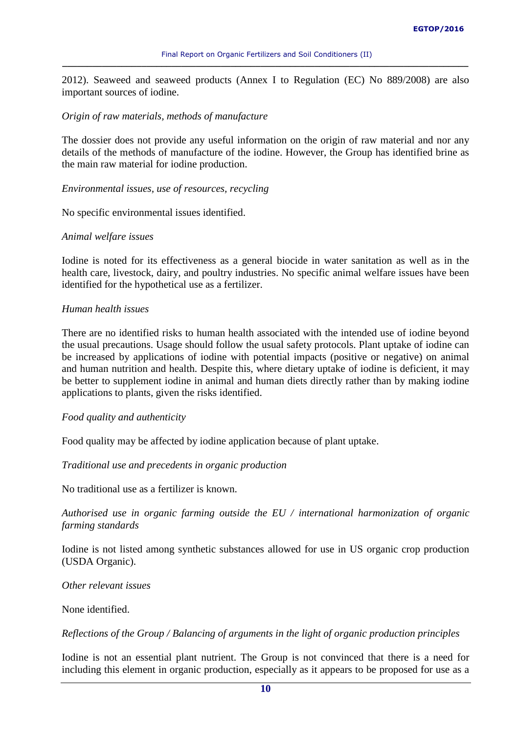2012). Seaweed and seaweed products (Annex I to Regulation (EC) No 889/2008) are also important sources of iodine.

### *Origin of raw materials, methods of manufacture*

The dossier does not provide any useful information on the origin of raw material and nor any details of the methods of manufacture of the iodine. However, the Group has identified brine as the main raw material for iodine production.

### *Environmental issues, use of resources, recycling*

No specific environmental issues identified.

### *Animal welfare issues*

Iodine is noted for its effectiveness as a general biocide in water sanitation as well as in the health care, livestock, dairy, and poultry industries. No specific animal welfare issues have been identified for the hypothetical use as a fertilizer.

### *Human health issues*

There are no identified risks to human health associated with the intended use of iodine beyond the usual precautions. Usage should follow the usual safety protocols. Plant uptake of iodine can be increased by applications of iodine with potential impacts (positive or negative) on animal and human nutrition and health. Despite this, where dietary uptake of iodine is deficient, it may be better to supplement iodine in animal and human diets directly rather than by making iodine applications to plants, given the risks identified.

# *Food quality and authenticity*

Food quality may be affected by iodine application because of plant uptake.

*Traditional use and precedents in organic production*

No traditional use as a fertilizer is known.

*Authorised use in organic farming outside the EU / international harmonization of organic farming standards*

Iodine is not listed among synthetic substances allowed for use in US organic crop production (USDA Organic).

#### *Other relevant issues*

None identified.

*Reflections of the Group / Balancing of arguments in the light of organic production principles*

Iodine is not an essential plant nutrient. The Group is not convinced that there is a need for including this element in organic production, especially as it appears to be proposed for use as a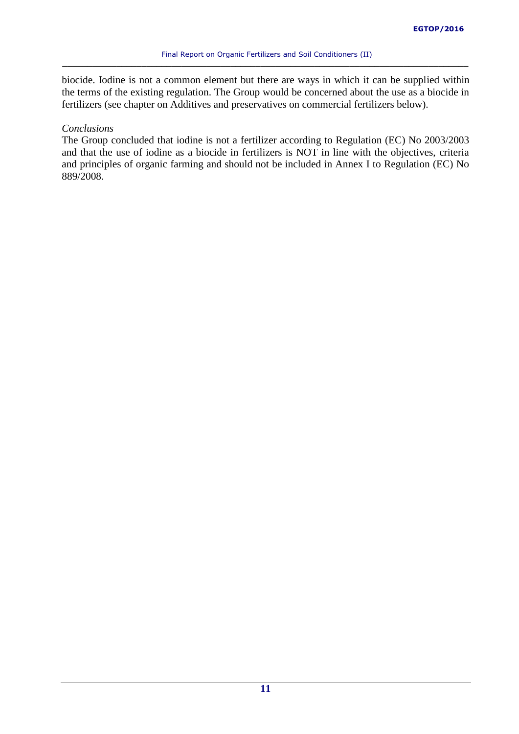biocide. Iodine is not a common element but there are ways in which it can be supplied within the terms of the existing regulation. The Group would be concerned about the use as a biocide in fertilizers (see chapter on Additives and preservatives on commercial fertilizers below).

### *Conclusions*

The Group concluded that iodine is not a fertilizer according to Regulation (EC) No 2003/2003 and that the use of iodine as a biocide in fertilizers is NOT in line with the objectives, criteria and principles of organic farming and should not be included in Annex I to Regulation (EC) No 889/2008.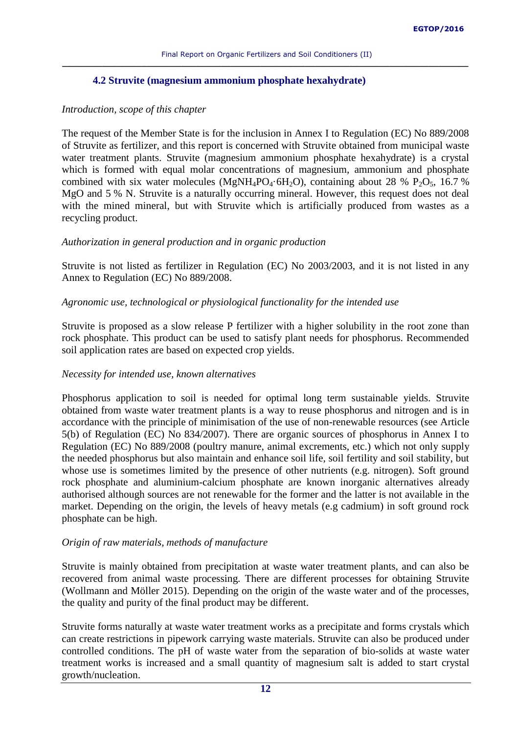# **4.2 Struvite (magnesium ammonium phosphate hexahydrate)**

# <span id="page-11-0"></span>*Introduction, scope of this chapter*

The request of the Member State is for the inclusion in Annex I to Regulation (EC) No 889/2008 of Struvite as fertilizer, and this report is concerned with Struvite obtained from municipal waste water treatment plants. Struvite (magnesium ammonium phosphate hexahydrate) is a crystal which is formed with equal molar concentrations of magnesium, ammonium and phosphate combined with six water molecules (MgNH<sub>4</sub>PO<sub>4</sub>·6H<sub>2</sub>O), containing about 28 % P<sub>2</sub>O<sub>5</sub>, 16.7 % MgO and 5 % N. Struvite is a naturally occurring mineral. However, this request does not deal with the mined mineral, but with Struvite which is artificially produced from wastes as a recycling product.

# *Authorization in general production and in organic production*

Struvite is not listed as fertilizer in Regulation (EC) No 2003/2003, and it is not listed in any Annex to Regulation (EC) No 889/2008.

# *Agronomic use, technological or physiological functionality for the intended use*

Struvite is proposed as a slow release P fertilizer with a higher solubility in the root zone than rock phosphate. This product can be used to satisfy plant needs for phosphorus. Recommended soil application rates are based on expected crop yields.

# *Necessity for intended use, known alternatives*

Phosphorus application to soil is needed for optimal long term sustainable yields. Struvite obtained from waste water treatment plants is a way to reuse phosphorus and nitrogen and is in accordance with the principle of minimisation of the use of non-renewable resources (see Article 5(b) of Regulation (EC) No 834/2007). There are organic sources of phosphorus in Annex I to Regulation (EC) No 889/2008 (poultry manure, animal excrements, etc.) which not only supply the needed phosphorus but also maintain and enhance soil life, soil fertility and soil stability, but whose use is sometimes limited by the presence of other nutrients (e.g. nitrogen). Soft ground rock phosphate and aluminium-calcium phosphate are known inorganic alternatives already authorised although sources are not renewable for the former and the latter is not available in the market. Depending on the origin, the levels of heavy metals (e.g cadmium) in soft ground rock phosphate can be high.

# *Origin of raw materials, methods of manufacture*

Struvite is mainly obtained from precipitation at waste water treatment plants, and can also be recovered from animal waste processing. There are different processes for obtaining Struvite (Wollmann and Möller 2015). Depending on the origin of the waste water and of the processes, the quality and purity of the final product may be different.

Struvite forms naturally at waste water treatment works as a precipitate and forms crystals which can create restrictions in pipework carrying waste materials. Struvite can also be produced under controlled conditions. The pH of waste water from the separation of bio-solids at waste water treatment works is increased and a small quantity of magnesium salt is added to start crystal growth/nucleation.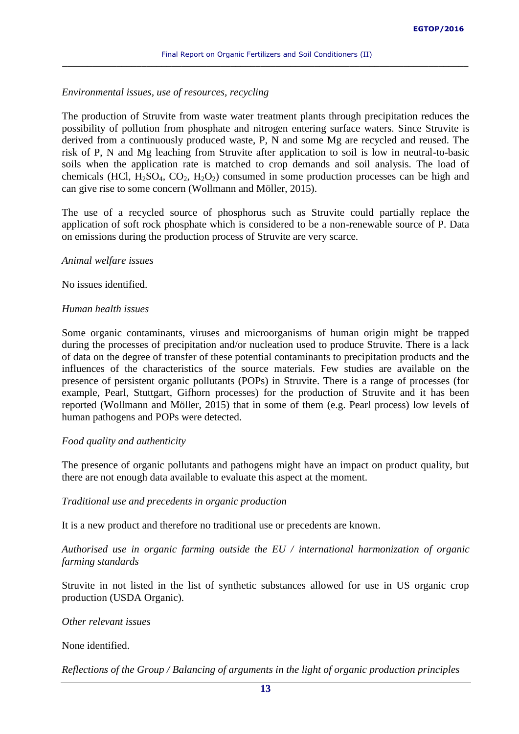### *Environmental issues, use of resources, recycling*

The production of Struvite from waste water treatment plants through precipitation reduces the possibility of pollution from phosphate and nitrogen entering surface waters. Since Struvite is derived from a continuously produced waste, P, N and some Mg are recycled and reused. The risk of P, N and Mg leaching from Struvite after application to soil is low in neutral-to-basic soils when the application rate is matched to crop demands and soil analysis. The load of chemicals (HCl,  $H_2SO_4$ ,  $CO_2$ ,  $H_2O_2$ ) consumed in some production processes can be high and can give rise to some concern (Wollmann and Möller, 2015).

The use of a recycled source of phosphorus such as Struvite could partially replace the application of soft rock phosphate which is considered to be a non-renewable source of P. Data on emissions during the production process of Struvite are very scarce.

#### *Animal welfare issues*

No issues identified.

### *Human health issues*

Some organic contaminants, viruses and microorganisms of human origin might be trapped during the processes of precipitation and/or nucleation used to produce Struvite. There is a lack of data on the degree of transfer of these potential contaminants to precipitation products and the influences of the characteristics of the source materials. Few studies are available on the presence of persistent organic pollutants (POPs) in Struvite. There is a range of processes (for example, Pearl, Stuttgart, Gifhorn processes) for the production of Struvite and it has been reported (Wollmann and Möller, 2015) that in some of them (e.g. Pearl process) low levels of human pathogens and POPs were detected.

# *Food quality and authenticity*

The presence of organic pollutants and pathogens might have an impact on product quality, but there are not enough data available to evaluate this aspect at the moment.

# *Traditional use and precedents in organic production*

It is a new product and therefore no traditional use or precedents are known.

*Authorised use in organic farming outside the EU / international harmonization of organic farming standards*

Struvite in not listed in the list of synthetic substances allowed for use in US organic crop production (USDA Organic).

*Other relevant issues*

None identified.

*Reflections of the Group / Balancing of arguments in the light of organic production principles*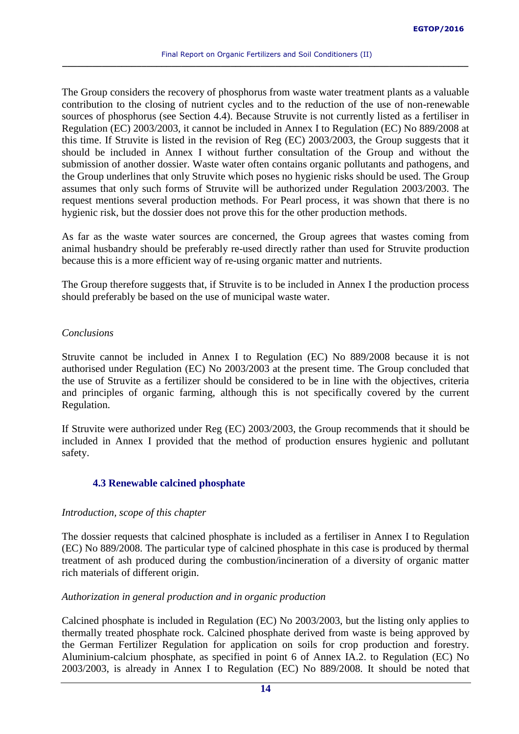The Group considers the recovery of phosphorus from waste water treatment plants as a valuable contribution to the closing of nutrient cycles and to the reduction of the use of non-renewable sources of phosphorus (see Section 4.4). Because Struvite is not currently listed as a fertiliser in Regulation (EC) 2003/2003, it cannot be included in Annex I to Regulation (EC) No 889/2008 at this time. If Struvite is listed in the revision of Reg (EC) 2003/2003, the Group suggests that it should be included in Annex I without further consultation of the Group and without the submission of another dossier. Waste water often contains organic pollutants and pathogens, and the Group underlines that only Struvite which poses no hygienic risks should be used. The Group assumes that only such forms of Struvite will be authorized under Regulation 2003/2003. The request mentions several production methods. For Pearl process, it was shown that there is no hygienic risk, but the dossier does not prove this for the other production methods.

As far as the waste water sources are concerned, the Group agrees that wastes coming from animal husbandry should be preferably re-used directly rather than used for Struvite production because this is a more efficient way of re-using organic matter and nutrients.

The Group therefore suggests that, if Struvite is to be included in Annex I the production process should preferably be based on the use of municipal waste water.

# *Conclusions*

Struvite cannot be included in Annex I to Regulation (EC) No 889/2008 because it is not authorised under Regulation (EC) No 2003/2003 at the present time. The Group concluded that the use of Struvite as a fertilizer should be considered to be in line with the objectives, criteria and principles of organic farming, although this is not specifically covered by the current Regulation.

If Struvite were authorized under Reg (EC) 2003/2003, the Group recommends that it should be included in Annex I provided that the method of production ensures hygienic and pollutant safety.

# <span id="page-13-0"></span>**4.3 Renewable calcined phosphate**

# *Introduction, scope of this chapter*

The dossier requests that calcined phosphate is included as a fertiliser in Annex I to Regulation (EC) No 889/2008. The particular type of calcined phosphate in this case is produced by thermal treatment of ash produced during the combustion/incineration of a diversity of organic matter rich materials of different origin.

# *Authorization in general production and in organic production*

Calcined phosphate is included in Regulation (EC) No 2003/2003, but the listing only applies to thermally treated phosphate rock. Calcined phosphate derived from waste is being approved by the German Fertilizer Regulation for application on soils for crop production and forestry. Aluminium-calcium phosphate, as specified in point 6 of Annex IA.2. to Regulation (EC) No 2003/2003, is already in Annex I to Regulation (EC) No 889/2008. It should be noted that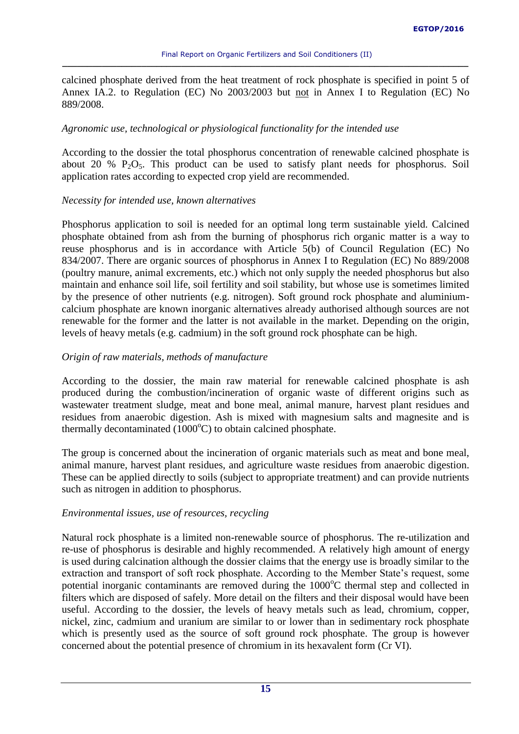calcined phosphate derived from the heat treatment of rock phosphate is specified in point 5 of Annex IA.2. to Regulation (EC) No 2003/2003 but not in Annex I to Regulation (EC) No 889/2008.

# *Agronomic use, technological or physiological functionality for the intended use*

According to the dossier the total phosphorus concentration of renewable calcined phosphate is about 20 %  $P_2O_5$ . This product can be used to satisfy plant needs for phosphorus. Soil application rates according to expected crop yield are recommended.

# *Necessity for intended use, known alternatives*

Phosphorus application to soil is needed for an optimal long term sustainable yield. Calcined phosphate obtained from ash from the burning of phosphorus rich organic matter is a way to reuse phosphorus and is in accordance with Article 5(b) of Council Regulation (EC) No 834/2007. There are organic sources of phosphorus in Annex I to Regulation (EC) No 889/2008 (poultry manure, animal excrements, etc.) which not only supply the needed phosphorus but also maintain and enhance soil life, soil fertility and soil stability, but whose use is sometimes limited by the presence of other nutrients (e.g. nitrogen). Soft ground rock phosphate and aluminiumcalcium phosphate are known inorganic alternatives already authorised although sources are not renewable for the former and the latter is not available in the market. Depending on the origin, levels of heavy metals (e.g. cadmium) in the soft ground rock phosphate can be high.

# *Origin of raw materials, methods of manufacture*

According to the dossier, the main raw material for renewable calcined phosphate is ash produced during the combustion/incineration of organic waste of different origins such as wastewater treatment sludge, meat and bone meal, animal manure, harvest plant residues and residues from anaerobic digestion. Ash is mixed with magnesium salts and magnesite and is thermally decontaminated  $(1000^{\circ}C)$  to obtain calcined phosphate.

The group is concerned about the incineration of organic materials such as meat and bone meal, animal manure, harvest plant residues, and agriculture waste residues from anaerobic digestion. These can be applied directly to soils (subject to appropriate treatment) and can provide nutrients such as nitrogen in addition to phosphorus.

# *Environmental issues, use of resources, recycling*

Natural rock phosphate is a limited non-renewable source of phosphorus. The re-utilization and re-use of phosphorus is desirable and highly recommended. A relatively high amount of energy is used during calcination although the dossier claims that the energy use is broadly similar to the extraction and transport of soft rock phosphate. According to the Member State's request, some potential inorganic contaminants are removed during the  $1000^{\circ}$ C thermal step and collected in filters which are disposed of safely. More detail on the filters and their disposal would have been useful. According to the dossier, the levels of heavy metals such as lead, chromium, copper, nickel, zinc, cadmium and uranium are similar to or lower than in sedimentary rock phosphate which is presently used as the source of soft ground rock phosphate. The group is however concerned about the potential presence of chromium in its hexavalent form (Cr VI).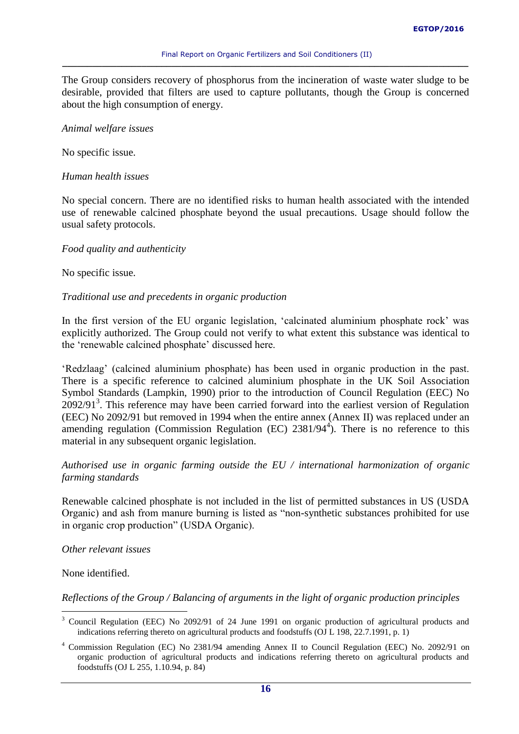The Group considers recovery of phosphorus from the incineration of waste water sludge to be desirable, provided that filters are used to capture pollutants, though the Group is concerned about the high consumption of energy.

#### *Animal welfare issues*

No specific issue.

#### *Human health issues*

No special concern. There are no identified risks to human health associated with the intended use of renewable calcined phosphate beyond the usual precautions. Usage should follow the usual safety protocols.

#### *Food quality and authenticity*

No specific issue.

#### *Traditional use and precedents in organic production*

In the first version of the EU organic legislation, 'calcinated aluminium phosphate rock' was explicitly authorized. The Group could not verify to what extent this substance was identical to the 'renewable calcined phosphate' discussed here.

'Redzlaag' (calcined aluminium phosphate) has been used in organic production in the past. There is a specific reference to calcined aluminium phosphate in the UK Soil Association Symbol Standards (Lampkin, 1990) prior to the introduction of Council Regulation (EEC) No 2092/91<sup>3</sup>. This reference may have been carried forward into the earliest version of Regulation (EEC) No 2092/91 but removed in 1994 when the entire annex (Annex II) was replaced under an amending regulation (Commission Regulation  $(EC)$  2381/94<sup>4</sup>). There is no reference to this material in any subsequent organic legislation.

*Authorised use in organic farming outside the EU / international harmonization of organic farming standards*

Renewable calcined phosphate is not included in the list of permitted substances in US (USDA Organic) and ash from manure burning is listed as "non-synthetic substances prohibited for use in organic crop production" (USDA Organic).

### *Other relevant issues*

None identified.

 $\overline{a}$ 

# *Reflections of the Group / Balancing of arguments in the light of organic production principles*

<sup>&</sup>lt;sup>3</sup> Council Regulation (EEC) No 2092/91 of 24 June 1991 on organic production of agricultural products and indications referring thereto on agricultural products and foodstuffs (OJ L 198, 22.7.1991, p. 1)

<sup>4</sup> Commission Regulation (EC) No 2381/94 amending Annex II to Council Regulation (EEC) No. 2092/91 on organic production of agricultural products and indications referring thereto on agricultural products and foodstuffs (OJ L 255, 1.10.94, p. 84)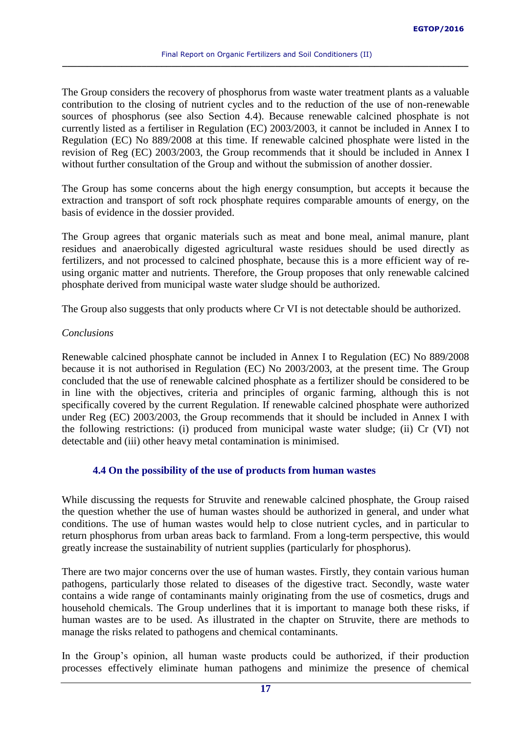The Group considers the recovery of phosphorus from waste water treatment plants as a valuable contribution to the closing of nutrient cycles and to the reduction of the use of non-renewable sources of phosphorus (see also Section 4.4). Because renewable calcined phosphate is not currently listed as a fertiliser in Regulation (EC) 2003/2003, it cannot be included in Annex I to Regulation (EC) No 889/2008 at this time. If renewable calcined phosphate were listed in the revision of Reg (EC) 2003/2003, the Group recommends that it should be included in Annex I without further consultation of the Group and without the submission of another dossier.

The Group has some concerns about the high energy consumption, but accepts it because the extraction and transport of soft rock phosphate requires comparable amounts of energy, on the basis of evidence in the dossier provided.

The Group agrees that organic materials such as meat and bone meal, animal manure, plant residues and anaerobically digested agricultural waste residues should be used directly as fertilizers, and not processed to calcined phosphate, because this is a more efficient way of reusing organic matter and nutrients. Therefore, the Group proposes that only renewable calcined phosphate derived from municipal waste water sludge should be authorized.

The Group also suggests that only products where Cr VI is not detectable should be authorized.

### *Conclusions*

Renewable calcined phosphate cannot be included in Annex I to Regulation (EC) No 889/2008 because it is not authorised in Regulation (EC) No 2003/2003, at the present time. The Group concluded that the use of renewable calcined phosphate as a fertilizer should be considered to be in line with the objectives, criteria and principles of organic farming, although this is not specifically covered by the current Regulation. If renewable calcined phosphate were authorized under Reg (EC) 2003/2003, the Group recommends that it should be included in Annex I with the following restrictions: (i) produced from municipal waste water sludge; (ii) Cr (VI) not detectable and (iii) other heavy metal contamination is minimised.

# **4.4 On the possibility of the use of products from human wastes**

While discussing the requests for Struvite and renewable calcined phosphate, the Group raised the question whether the use of human wastes should be authorized in general, and under what conditions. The use of human wastes would help to close nutrient cycles, and in particular to return phosphorus from urban areas back to farmland. From a long-term perspective, this would greatly increase the sustainability of nutrient supplies (particularly for phosphorus).

There are two major concerns over the use of human wastes. Firstly, they contain various human pathogens, particularly those related to diseases of the digestive tract. Secondly, waste water contains a wide range of contaminants mainly originating from the use of cosmetics, drugs and household chemicals. The Group underlines that it is important to manage both these risks, if human wastes are to be used. As illustrated in the chapter on Struvite, there are methods to manage the risks related to pathogens and chemical contaminants.

In the Group's opinion, all human waste products could be authorized, if their production processes effectively eliminate human pathogens and minimize the presence of chemical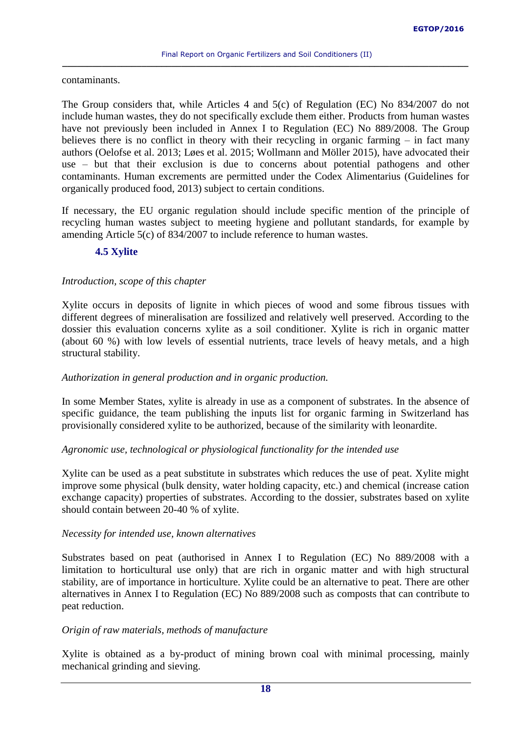contaminants.

The Group considers that, while Articles 4 and 5(c) of Regulation (EC) No 834/2007 do not include human wastes, they do not specifically exclude them either. Products from human wastes have not previously been included in Annex I to Regulation (EC) No 889/2008. The Group believes there is no conflict in theory with their recycling in organic farming – in fact many authors (Oelofse et al. 2013; Løes et al. 2015; Wollmann and Möller 2015), have advocated their use – but that their exclusion is due to concerns about potential pathogens and other contaminants. Human excrements are permitted under the Codex Alimentarius (Guidelines for organically produced food, 2013) subject to certain conditions.

If necessary, the EU organic regulation should include specific mention of the principle of recycling human wastes subject to meeting hygiene and pollutant standards, for example by amending Article 5(c) of 834/2007 to include reference to human wastes.

# <span id="page-17-0"></span>**4.5 Xylite**

# *Introduction, scope of this chapter*

Xylite occurs in deposits of lignite in which pieces of wood and some fibrous tissues with different degrees of mineralisation are fossilized and relatively well preserved. According to the dossier this evaluation concerns xylite as a soil conditioner. Xylite is rich in organic matter (about 60 %) with low levels of essential nutrients, trace levels of heavy metals, and a high structural stability.

# *Authorization in general production and in organic production.*

In some Member States, xylite is already in use as a component of substrates. In the absence of specific guidance, the team publishing the inputs list for organic farming in Switzerland has provisionally considered xylite to be authorized, because of the similarity with leonardite.

# *Agronomic use, technological or physiological functionality for the intended use*

Xylite can be used as a peat substitute in substrates which reduces the use of peat. Xylite might improve some physical (bulk density, water holding capacity, etc.) and chemical (increase cation exchange capacity) properties of substrates. According to the dossier, substrates based on xylite should contain between 20-40 % of xylite.

# *Necessity for intended use, known alternatives*

Substrates based on peat (authorised in Annex I to Regulation (EC) No 889/2008 with a limitation to horticultural use only) that are rich in organic matter and with high structural stability, are of importance in horticulture. Xylite could be an alternative to peat. There are other alternatives in Annex I to Regulation (EC) No 889/2008 such as composts that can contribute to peat reduction.

# *Origin of raw materials, methods of manufacture*

Xylite is obtained as a by-product of mining brown coal with minimal processing, mainly mechanical grinding and sieving.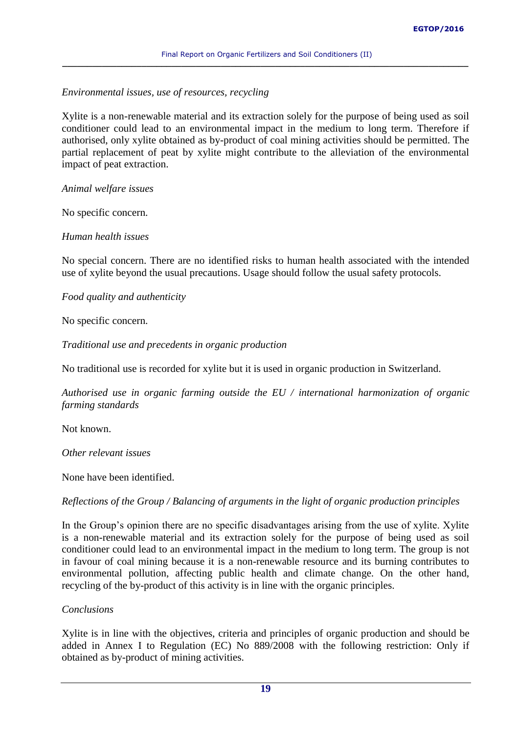# *Environmental issues, use of resources, recycling*

Xylite is a non-renewable material and its extraction solely for the purpose of being used as soil conditioner could lead to an environmental impact in the medium to long term. Therefore if authorised, only xylite obtained as by-product of coal mining activities should be permitted. The partial replacement of peat by xylite might contribute to the alleviation of the environmental impact of peat extraction.

*Animal welfare issues*

No specific concern.

# *Human health issues*

No special concern. There are no identified risks to human health associated with the intended use of xylite beyond the usual precautions. Usage should follow the usual safety protocols.

*Food quality and authenticity*

No specific concern.

*Traditional use and precedents in organic production*

No traditional use is recorded for xylite but it is used in organic production in Switzerland.

*Authorised use in organic farming outside the EU / international harmonization of organic farming standards*

Not known.

*Other relevant issues*

None have been identified.

# *Reflections of the Group / Balancing of arguments in the light of organic production principles*

In the Group's opinion there are no specific disadvantages arising from the use of xylite. Xylite is a non-renewable material and its extraction solely for the purpose of being used as soil conditioner could lead to an environmental impact in the medium to long term. The group is not in favour of coal mining because it is a non-renewable resource and its burning contributes to environmental pollution, affecting public health and climate change. On the other hand, recycling of the by-product of this activity is in line with the organic principles.

# *Conclusions*

Xylite is in line with the objectives, criteria and principles of organic production and should be added in Annex I to Regulation (EC) No 889/2008 with the following restriction: Only if obtained as by-product of mining activities.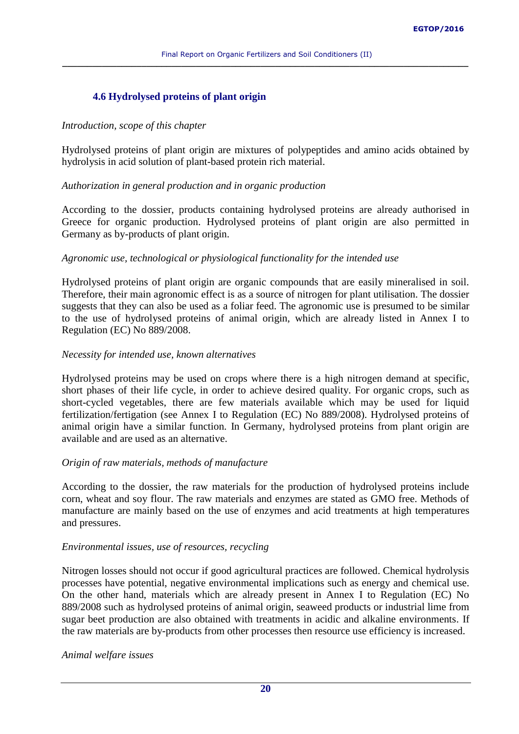# <span id="page-19-0"></span>**4.6 Hydrolysed proteins of plant origin**

### *Introduction, scope of this chapter*

Hydrolysed proteins of plant origin are mixtures of polypeptides and amino acids obtained by hydrolysis in acid solution of plant-based protein rich material.

# *Authorization in general production and in organic production*

According to the dossier, products containing hydrolysed proteins are already authorised in Greece for organic production. Hydrolysed proteins of plant origin are also permitted in Germany as by-products of plant origin.

# *Agronomic use, technological or physiological functionality for the intended use*

Hydrolysed proteins of plant origin are organic compounds that are easily mineralised in soil. Therefore, their main agronomic effect is as a source of nitrogen for plant utilisation. The dossier suggests that they can also be used as a foliar feed. The agronomic use is presumed to be similar to the use of hydrolysed proteins of animal origin, which are already listed in Annex I to Regulation (EC) No 889/2008.

# *Necessity for intended use, known alternatives*

Hydrolysed proteins may be used on crops where there is a high nitrogen demand at specific, short phases of their life cycle, in order to achieve desired quality. For organic crops, such as short-cycled vegetables, there are few materials available which may be used for liquid fertilization/fertigation (see Annex I to Regulation (EC) No 889/2008). Hydrolysed proteins of animal origin have a similar function. In Germany, hydrolysed proteins from plant origin are available and are used as an alternative.

# *Origin of raw materials, methods of manufacture*

According to the dossier, the raw materials for the production of hydrolysed proteins include corn, wheat and soy flour. The raw materials and enzymes are stated as GMO free. Methods of manufacture are mainly based on the use of enzymes and acid treatments at high temperatures and pressures.

# *Environmental issues, use of resources, recycling*

Nitrogen losses should not occur if good agricultural practices are followed. Chemical hydrolysis processes have potential, negative environmental implications such as energy and chemical use. On the other hand, materials which are already present in Annex I to Regulation (EC) No 889/2008 such as hydrolysed proteins of animal origin, seaweed products or industrial lime from sugar beet production are also obtained with treatments in acidic and alkaline environments. If the raw materials are by-products from other processes then resource use efficiency is increased.

# *Animal welfare issues*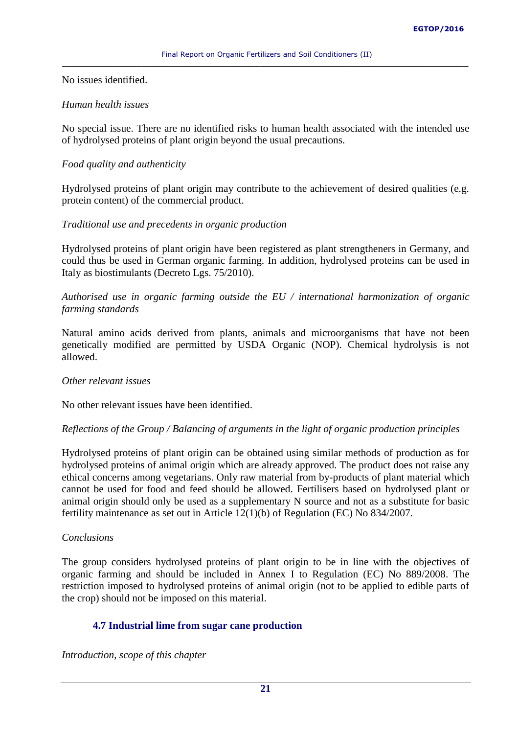No issues identified.

# *Human health issues*

No special issue. There are no identified risks to human health associated with the intended use of hydrolysed proteins of plant origin beyond the usual precautions.

# *Food quality and authenticity*

Hydrolysed proteins of plant origin may contribute to the achievement of desired qualities (e.g. protein content) of the commercial product.

# *Traditional use and precedents in organic production*

Hydrolysed proteins of plant origin have been registered as plant strengtheners in Germany, and could thus be used in German organic farming. In addition, hydrolysed proteins can be used in Italy as biostimulants (Decreto Lgs. 75/2010).

*Authorised use in organic farming outside the EU / international harmonization of organic farming standards*

Natural amino acids derived from plants, animals and microorganisms that have not been genetically modified are permitted by USDA Organic (NOP). Chemical hydrolysis is not allowed.

# *Other relevant issues*

No other relevant issues have been identified.

# *Reflections of the Group / Balancing of arguments in the light of organic production principles*

Hydrolysed proteins of plant origin can be obtained using similar methods of production as for hydrolysed proteins of animal origin which are already approved. The product does not raise any ethical concerns among vegetarians. Only raw material from by-products of plant material which cannot be used for food and feed should be allowed. Fertilisers based on hydrolysed plant or animal origin should only be used as a supplementary N source and not as a substitute for basic fertility maintenance as set out in Article 12(1)(b) of Regulation (EC) No 834/2007.

# *Conclusions*

The group considers hydrolysed proteins of plant origin to be in line with the objectives of organic farming and should be included in Annex I to Regulation (EC) No 889/2008. The restriction imposed to hydrolysed proteins of animal origin (not to be applied to edible parts of the crop) should not be imposed on this material.

# <span id="page-20-0"></span>**4.7 Industrial lime from sugar cane production**

*Introduction, scope of this chapter*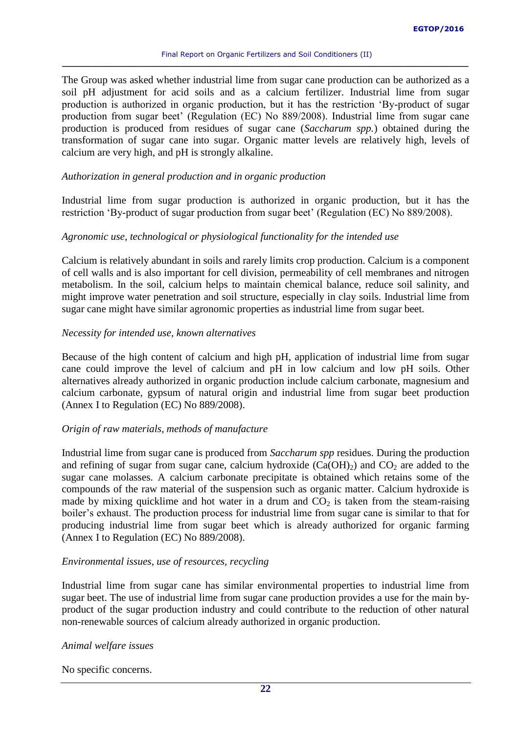The Group was asked whether industrial lime from sugar cane production can be authorized as a soil pH adjustment for acid soils and as a calcium fertilizer. Industrial lime from sugar production is authorized in organic production, but it has the restriction 'By-product of sugar production from sugar beet' (Regulation (EC) No 889/2008). Industrial lime from sugar cane production is produced from residues of sugar cane (*Saccharum spp.*) obtained during the transformation of sugar cane into sugar. Organic matter levels are relatively high, levels of calcium are very high, and pH is strongly alkaline.

#### *Authorization in general production and in organic production*

Industrial lime from sugar production is authorized in organic production, but it has the restriction 'By-product of sugar production from sugar beet' (Regulation (EC) No 889/2008).

#### *Agronomic use, technological or physiological functionality for the intended use*

Calcium is relatively abundant in soils and rarely limits crop production. Calcium is a component of cell walls and is also important for cell division, permeability of cell membranes and nitrogen metabolism. In the soil, calcium helps to maintain chemical balance, reduce soil salinity, and might improve water penetration and soil structure, especially in clay soils. Industrial lime from sugar cane might have similar agronomic properties as industrial lime from sugar beet.

#### *Necessity for intended use, known alternatives*

Because of the high content of calcium and high pH, application of industrial lime from sugar cane could improve the level of calcium and pH in low calcium and low pH soils. Other alternatives already authorized in organic production include calcium carbonate, magnesium and calcium carbonate, gypsum of natural origin and industrial lime from sugar beet production (Annex I to Regulation (EC) No 889/2008).

#### *Origin of raw materials, methods of manufacture*

Industrial lime from sugar cane is produced from *Saccharum spp* residues. During the production and refining of sugar from sugar cane, calcium hydroxide  $(Ca(OH)_2)$  and  $CO_2$  are added to the sugar cane molasses. A calcium carbonate precipitate is obtained which retains some of the compounds of the raw material of the suspension such as organic matter. Calcium hydroxide is made by mixing quicklime and hot water in a drum and  $CO<sub>2</sub>$  is taken from the steam-raising boiler's exhaust. The production process for industrial lime from sugar cane is similar to that for producing industrial lime from sugar beet which is already authorized for organic farming (Annex I to Regulation (EC) No 889/2008).

### *Environmental issues, use of resources, recycling*

Industrial lime from sugar cane has similar environmental properties to industrial lime from sugar beet. The use of industrial lime from sugar cane production provides a use for the main byproduct of the sugar production industry and could contribute to the reduction of other natural non-renewable sources of calcium already authorized in organic production.

#### *Animal welfare issues*

No specific concerns.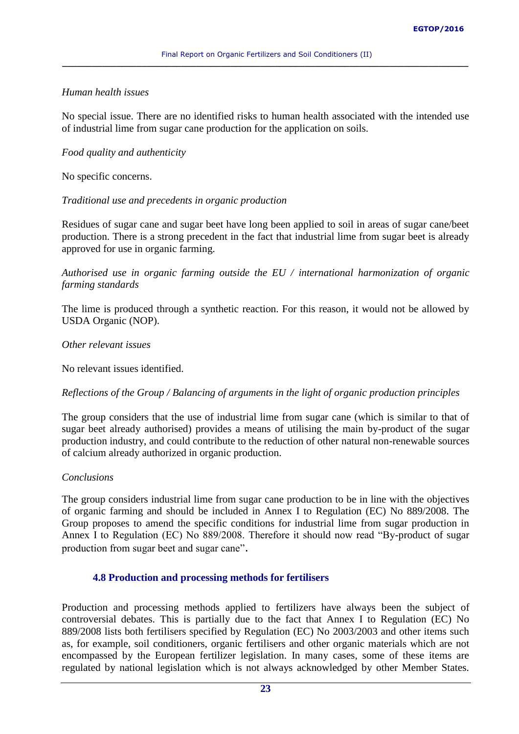# *Human health issues*

No special issue. There are no identified risks to human health associated with the intended use of industrial lime from sugar cane production for the application on soils.

# *Food quality and authenticity*

No specific concerns.

# *Traditional use and precedents in organic production*

Residues of sugar cane and sugar beet have long been applied to soil in areas of sugar cane/beet production. There is a strong precedent in the fact that industrial lime from sugar beet is already approved for use in organic farming.

*Authorised use in organic farming outside the EU / international harmonization of organic farming standards*

The lime is produced through a synthetic reaction. For this reason, it would not be allowed by USDA Organic (NOP).

# *Other relevant issues*

No relevant issues identified.

# *Reflections of the Group / Balancing of arguments in the light of organic production principles*

The group considers that the use of industrial lime from sugar cane (which is similar to that of sugar beet already authorised) provides a means of utilising the main by-product of the sugar production industry, and could contribute to the reduction of other natural non-renewable sources of calcium already authorized in organic production.

# *Conclusions*

The group considers industrial lime from sugar cane production to be in line with the objectives of organic farming and should be included in Annex I to Regulation (EC) No 889/2008. The Group proposes to amend the specific conditions for industrial lime from sugar production in Annex I to Regulation (EC) No 889/2008. Therefore it should now read "By-product of sugar production from sugar beet and sugar cane".

# <span id="page-22-0"></span>**4.8 Production and processing methods for fertilisers**

Production and processing methods applied to fertilizers have always been the subject of controversial debates. This is partially due to the fact that Annex I to Regulation (EC) No 889/2008 lists both fertilisers specified by Regulation (EC) No 2003/2003 and other items such as, for example, soil conditioners, organic fertilisers and other organic materials which are not encompassed by the European fertilizer legislation. In many cases, some of these items are regulated by national legislation which is not always acknowledged by other Member States.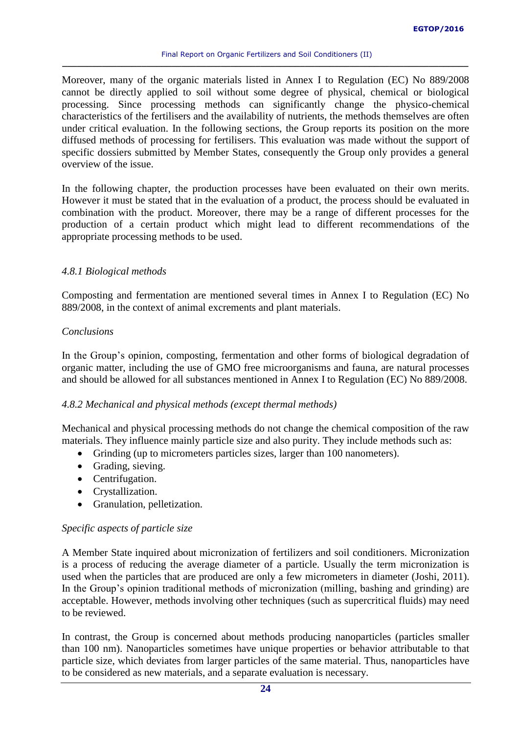Moreover, many of the organic materials listed in Annex I to Regulation (EC) No 889/2008 cannot be directly applied to soil without some degree of physical, chemical or biological processing. Since processing methods can significantly change the physico-chemical characteristics of the fertilisers and the availability of nutrients, the methods themselves are often under critical evaluation. In the following sections, the Group reports its position on the more diffused methods of processing for fertilisers. This evaluation was made without the support of specific dossiers submitted by Member States, consequently the Group only provides a general overview of the issue.

In the following chapter, the production processes have been evaluated on their own merits. However it must be stated that in the evaluation of a product, the process should be evaluated in combination with the product. Moreover, there may be a range of different processes for the production of a certain product which might lead to different recommendations of the appropriate processing methods to be used.

# *4.8.1 Biological methods*

Composting and fermentation are mentioned several times in Annex I to Regulation (EC) No 889/2008, in the context of animal excrements and plant materials.

# *Conclusions*

In the Group's opinion, composting, fermentation and other forms of biological degradation of organic matter, including the use of GMO free microorganisms and fauna, are natural processes and should be allowed for all substances mentioned in Annex I to Regulation (EC) No 889/2008.

# *4.8.2 Mechanical and physical methods (except thermal methods)*

Mechanical and physical processing methods do not change the chemical composition of the raw materials. They influence mainly particle size and also purity. They include methods such as:

- Grinding (up to micrometers particles sizes, larger than 100 nanometers).
- Grading, sieving.
- Centrifugation.
- Crystallization.
- Granulation, pelletization.

# *Specific aspects of particle size*

A Member State inquired about micronization of fertilizers and soil conditioners. Micronization is a process of reducing the average diameter of a particle. Usually the term micronization is used when the particles that are produced are only a few [micrometers](https://en.wikipedia.org/wiki/Micrometre) in diameter (Joshi, 2011). In the Group's opinion traditional methods of micronization (milling, bashing and grinding) are acceptable. However, methods involving other techniques (such as supercritical fluids) may need to be reviewed.

In contrast, the Group is concerned about methods producing nanoparticles (particles smaller than 100 nm). Nanoparticles sometimes have unique properties or behavior attributable to that particle size, which deviates from larger particles of the same material. Thus, nanoparticles have to be considered as new materials, and a separate evaluation is necessary.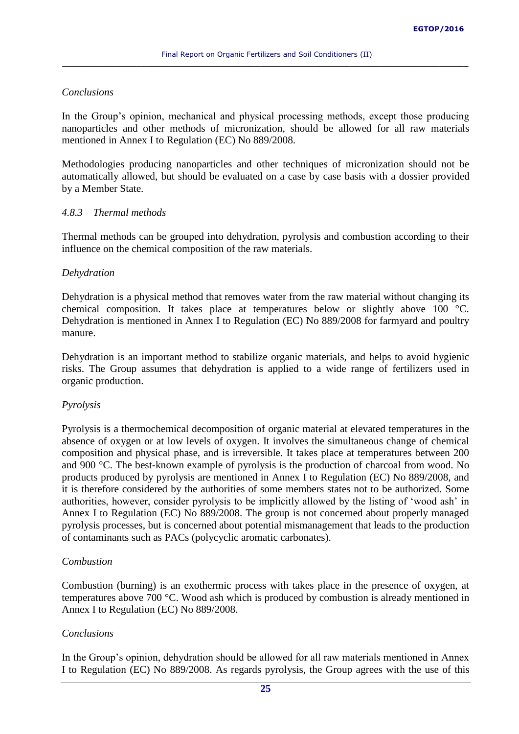# *Conclusions*

In the Group's opinion, mechanical and physical processing methods, except those producing nanoparticles and other methods of micronization, should be allowed for all raw materials mentioned in Annex I to Regulation (EC) No 889/2008.

Methodologies producing nanoparticles and other techniques of micronization should not be automatically allowed, but should be evaluated on a case by case basis with a dossier provided by a Member State.

# *4.8.3 Thermal methods*

Thermal methods can be grouped into dehydration, pyrolysis and combustion according to their influence on the chemical composition of the raw materials.

# *Dehydration*

Dehydration is a physical method that removes water from the raw material without changing its chemical composition. It takes place at temperatures below or slightly above 100 °C. Dehydration is mentioned in Annex I to Regulation (EC) No 889/2008 for farmyard and poultry manure.

Dehydration is an important method to stabilize organic materials, and helps to avoid hygienic risks. The Group assumes that dehydration is applied to a wide range of fertilizers used in organic production.

# *Pyrolysis*

Pyrolysis is a thermochemical decomposition of organic material at elevated temperatures in the absence of oxygen or at low levels of oxygen. It involves the simultaneous change of chemical composition and physical phase, and is irreversible. It takes place at temperatures between 200 and 900 °C. The best-known example of pyrolysis is the production of charcoal from wood. No products produced by pyrolysis are mentioned in Annex I to Regulation (EC) No 889/2008, and it is therefore considered by the authorities of some members states not to be authorized. Some authorities, however, consider pyrolysis to be implicitly allowed by the listing of 'wood ash' in Annex I to Regulation (EC) No 889/2008. The group is not concerned about properly managed pyrolysis processes, but is concerned about potential mismanagement that leads to the production of contaminants such as PACs (polycyclic aromatic carbonates).

# *Combustion*

Combustion (burning) is an exothermic process with takes place in the presence of oxygen, at temperatures above 700 °C. Wood ash which is produced by combustion is already mentioned in Annex I to Regulation (EC) No 889/2008.

# *Conclusions*

In the Group's opinion, dehydration should be allowed for all raw materials mentioned in Annex I to Regulation (EC) No 889/2008. As regards pyrolysis, the Group agrees with the use of this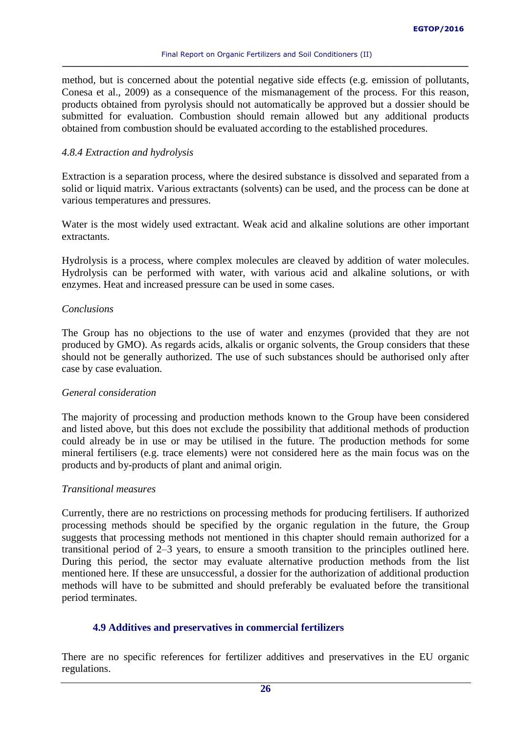method, but is concerned about the potential negative side effects (e.g. emission of pollutants, Conesa et al., 2009) as a consequence of the mismanagement of the process. For this reason, products obtained from pyrolysis should not automatically be approved but a dossier should be submitted for evaluation. Combustion should remain allowed but any additional products obtained from combustion should be evaluated according to the established procedures.

### *4.8.4 Extraction and hydrolysis*

Extraction is a separation process, where the desired substance is dissolved and separated from a solid or liquid matrix. Various extractants (solvents) can be used, and the process can be done at various temperatures and pressures.

Water is the most widely used extractant. Weak acid and alkaline solutions are other important extractants.

Hydrolysis is a process, where complex molecules are cleaved by addition of water molecules. Hydrolysis can be performed with water, with various acid and alkaline solutions, or with enzymes. Heat and increased pressure can be used in some cases.

### *Conclusions*

The Group has no objections to the use of water and enzymes (provided that they are not produced by GMO). As regards acids, alkalis or organic solvents, the Group considers that these should not be generally authorized. The use of such substances should be authorised only after case by case evaluation.

#### *General consideration*

The majority of processing and production methods known to the Group have been considered and listed above, but this does not exclude the possibility that additional methods of production could already be in use or may be utilised in the future. The production methods for some mineral fertilisers (e.g. trace elements) were not considered here as the main focus was on the products and by-products of plant and animal origin.

#### *Transitional measures*

Currently, there are no restrictions on processing methods for producing fertilisers. If authorized processing methods should be specified by the organic regulation in the future, the Group suggests that processing methods not mentioned in this chapter should remain authorized for a transitional period of 2–3 years, to ensure a smooth transition to the principles outlined here. During this period, the sector may evaluate alternative production methods from the list mentioned here. If these are unsuccessful, a dossier for the authorization of additional production methods will have to be submitted and should preferably be evaluated before the transitional period terminates.

# <span id="page-25-0"></span>**4.9 Additives and preservatives in commercial fertilizers**

There are no specific references for fertilizer additives and preservatives in the EU organic regulations.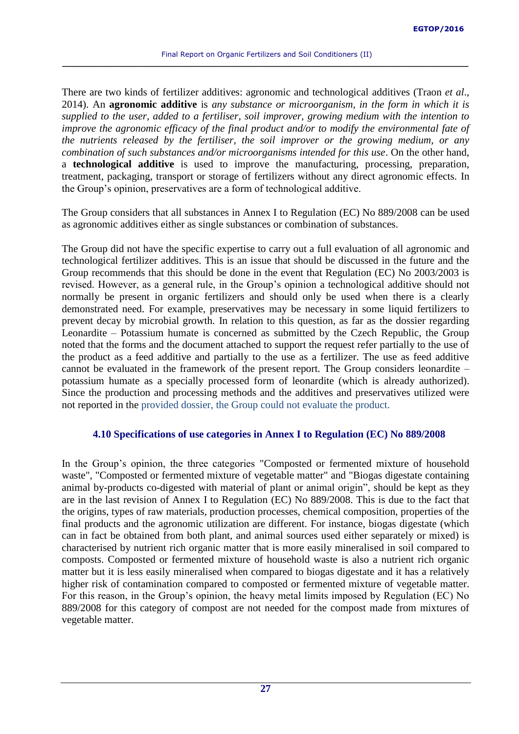There are two kinds of fertilizer additives: agronomic and technological additives (Traon *et al*., 2014). An **agronomic additive** is *any substance or microorganism, in the form in which it is supplied to the user, added to a fertiliser, soil improver, growing medium with the intention to improve the agronomic efficacy of the final product and/or to modify the environmental fate of the nutrients released by the fertiliser, the soil improver or the growing medium, or any combination of such substances and/or microorganisms intended for this use*. On the other hand, a **technological additive** is used to improve the manufacturing, processing, preparation, treatment, packaging, transport or storage of fertilizers without any direct agronomic effects. In the Group's opinion, preservatives are a form of technological additive.

The Group considers that all substances in Annex I to Regulation (EC) No 889/2008 can be used as agronomic additives either as single substances or combination of substances.

The Group did not have the specific expertise to carry out a full evaluation of all agronomic and technological fertilizer additives. This is an issue that should be discussed in the future and the Group recommends that this should be done in the event that Regulation (EC) No 2003/2003 is revised. However, as a general rule, in the Group's opinion a technological additive should not normally be present in organic fertilizers and should only be used when there is a clearly demonstrated need. For example, preservatives may be necessary in some liquid fertilizers to prevent decay by microbial growth. In relation to this question, as far as the dossier regarding Leonardite – Potassium humate is concerned as submitted by the Czech Republic, the Group noted that the forms and the document attached to support the request refer partially to the use of the product as a feed additive and partially to the use as a fertilizer. The use as feed additive cannot be evaluated in the framework of the present report. The Group considers leonardite – potassium humate as a specially processed form of leonardite (which is already authorized). Since the production and processing methods and the additives and preservatives utilized were not reported in the provided dossier, the Group could not evaluate the product.

# <span id="page-26-0"></span>**4.10 Specifications of use categories in Annex I to Regulation (EC) No 889/2008**

In the Group's opinion, the three categories "Composted or fermented mixture of household waste", "Composted or fermented mixture of vegetable matter" and "Biogas digestate containing animal by-products co-digested with material of plant or animal origin", should be kept as they are in the last revision of Annex I to Regulation (EC) No 889/2008. This is due to the fact that the origins, types of raw materials, production processes, chemical composition, properties of the final products and the agronomic utilization are different. For instance, biogas digestate (which can in fact be obtained from both plant, and animal sources used either separately or mixed) is characterised by nutrient rich organic matter that is more easily mineralised in soil compared to composts. Composted or fermented mixture of household waste is also a nutrient rich organic matter but it is less easily mineralised when compared to biogas digestate and it has a relatively higher risk of contamination compared to composted or fermented mixture of vegetable matter. For this reason, in the Group's opinion, the heavy metal limits imposed by Regulation (EC) No 889/2008 for this category of compost are not needed for the compost made from mixtures of vegetable matter.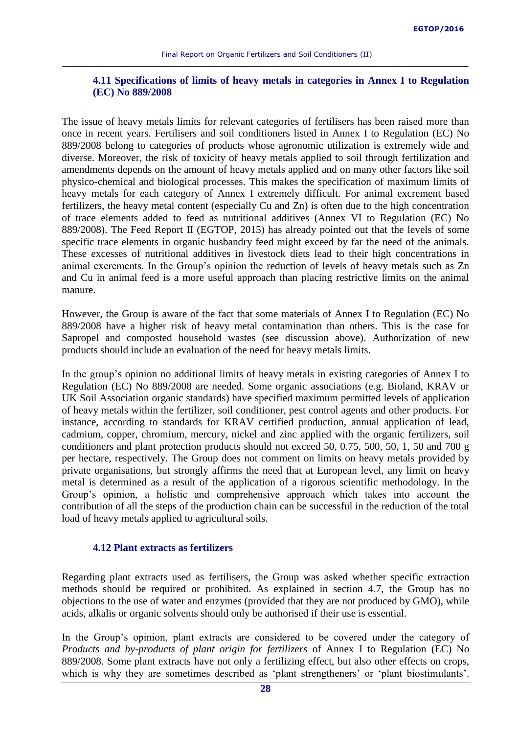# <span id="page-27-0"></span>**4.11 Specifications of limits of heavy metals in categories in Annex I to Regulation (EC) No 889/2008**

The issue of heavy metals limits for relevant categories of fertilisers has been raised more than once in recent years. Fertilisers and soil conditioners listed in Annex I to Regulation (EC) No 889/2008 belong to categories of products whose agronomic utilization is extremely wide and diverse. Moreover, the risk of toxicity of heavy metals applied to soil through fertilization and amendments depends on the amount of heavy metals applied and on many other factors like soil physico-chemical and biological processes. This makes the specification of maximum limits of heavy metals for each category of Annex I extremely difficult. For animal excrement based fertilizers, the heavy metal content (especially Cu and Zn) is often due to the high concentration of trace elements added to feed as nutritional additives (Annex VI to Regulation (EC) No 889/2008). The Feed Report II (EGTOP, 2015) has already pointed out that the levels of some specific trace elements in organic husbandry feed might exceed by far the need of the animals. These excesses of nutritional additives in livestock diets lead to their high concentrations in animal excrements. In the Group's opinion the reduction of levels of heavy metals such as Zn and Cu in animal feed is a more useful approach than placing restrictive limits on the animal manure.

However, the Group is aware of the fact that some materials of Annex I to Regulation (EC) No 889/2008 have a higher risk of heavy metal contamination than others. This is the case for Sapropel and composted household wastes (see discussion above). Authorization of new products should include an evaluation of the need for heavy metals limits.

In the group's opinion no additional limits of heavy metals in existing categories of Annex I to Regulation (EC) No 889/2008 are needed. Some organic associations (e.g. Bioland, KRAV or UK Soil Association organic standards) have specified maximum permitted levels of application of heavy metals within the fertilizer, soil conditioner, pest control agents and other products. For instance, according to standards for KRAV certified production, annual application of lead, cadmium, copper, chromium, mercury, nickel and zinc applied with the organic fertilizers, soil conditioners and plant protection products should not exceed 50, 0.75, 500, 50, 1, 50 and 700 g per hectare, respectively. The Group does not comment on limits on heavy metals provided by private organisations, but strongly affirms the need that at European level, any limit on heavy metal is determined as a result of the application of a rigorous scientific methodology. In the Group's opinion, a holistic and comprehensive approach which takes into account the contribution of all the steps of the production chain can be successful in the reduction of the total load of heavy metals applied to agricultural soils.

# <span id="page-27-1"></span>**4.12 Plant extracts as fertilizers**

Regarding plant extracts used as fertilisers, the Group was asked whether specific extraction methods should be required or prohibited. As explained in section 4.7, the Group has no objections to the use of water and enzymes (provided that they are not produced by GMO), while acids, alkalis or organic solvents should only be authorised if their use is essential.

In the Group's opinion, plant extracts are considered to be covered under the category of *Products and by-products of plant origin for fertilizers* of Annex I to Regulation (EC) No 889/2008. Some plant extracts have not only a fertilizing effect, but also other effects on crops, which is why they are sometimes described as 'plant strengtheners' or 'plant biostimulants'.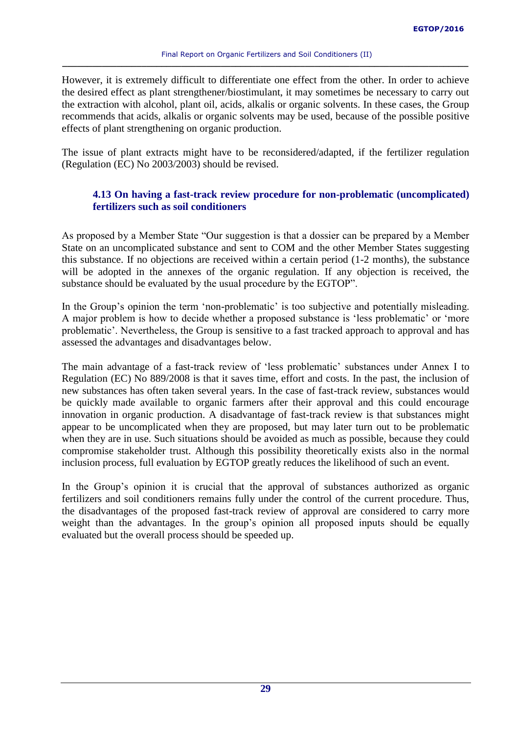However, it is extremely difficult to differentiate one effect from the other. In order to achieve the desired effect as plant strengthener/biostimulant, it may sometimes be necessary to carry out the extraction with alcohol, plant oil, acids, alkalis or organic solvents. In these cases, the Group recommends that acids, alkalis or organic solvents may be used, because of the possible positive effects of plant strengthening on organic production.

The issue of plant extracts might have to be reconsidered/adapted, if the fertilizer regulation (Regulation (EC) No 2003/2003) should be revised.

# <span id="page-28-0"></span>**4.13 On having a fast-track review procedure for non-problematic (uncomplicated) fertilizers such as soil conditioners**

As proposed by a Member State "Our suggestion is that a dossier can be prepared by a Member State on an uncomplicated substance and sent to COM and the other Member States suggesting this substance. If no objections are received within a certain period (1-2 months), the substance will be adopted in the annexes of the organic regulation. If any objection is received, the substance should be evaluated by the usual procedure by the EGTOP".

In the Group's opinion the term 'non-problematic' is too subjective and potentially misleading. A major problem is how to decide whether a proposed substance is 'less problematic' or 'more problematic'. Nevertheless, the Group is sensitive to a fast tracked approach to approval and has assessed the advantages and disadvantages below.

The main advantage of a fast-track review of 'less problematic' substances under Annex I to Regulation (EC) No 889/2008 is that it saves time, effort and costs. In the past, the inclusion of new substances has often taken several years. In the case of fast-track review, substances would be quickly made available to organic farmers after their approval and this could encourage innovation in organic production. A disadvantage of fast-track review is that substances might appear to be uncomplicated when they are proposed, but may later turn out to be problematic when they are in use. Such situations should be avoided as much as possible, because they could compromise stakeholder trust. Although this possibility theoretically exists also in the normal inclusion process, full evaluation by EGTOP greatly reduces the likelihood of such an event.

In the Group's opinion it is crucial that the approval of substances authorized as organic fertilizers and soil conditioners remains fully under the control of the current procedure. Thus, the disadvantages of the proposed fast-track review of approval are considered to carry more weight than the advantages. In the group's opinion all proposed inputs should be equally evaluated but the overall process should be speeded up.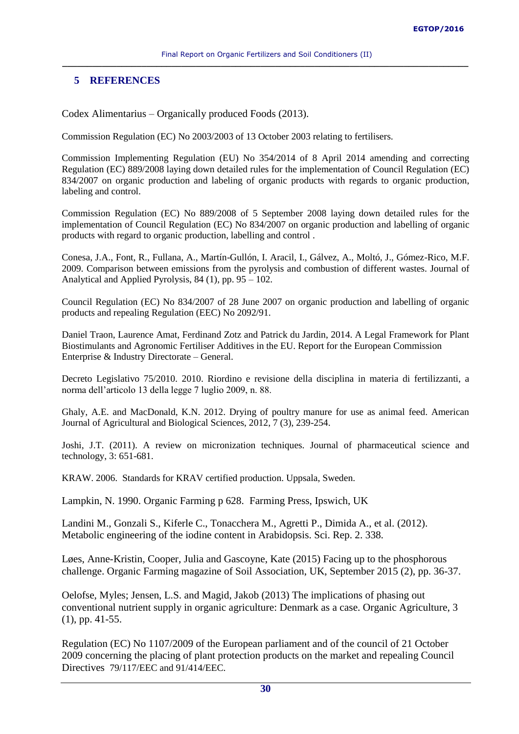# <span id="page-29-0"></span>**5 REFERENCES**

Codex Alimentarius – Organically produced Foods (2013).

Commission Regulation (EC) No 2003/2003 of 13 October 2003 relating to fertilisers.

Commission Implementing Regulation (EU) No 354/2014 of 8 April 2014 amending and correcting Regulation (EC) 889/2008 laying down detailed rules for the implementation of Council Regulation (EC) 834/2007 on organic production and labeling of organic products with regards to organic production, labeling and control.

Commission Regulation (EC) No 889/2008 of 5 September 2008 laying down detailed rules for the implementation of Council Regulation (EC) No 834/2007 on organic production and labelling of organic products with regard to organic production, labelling and control .

Conesa, J.A., Font, R., Fullana, A., Martín-Gullón, I. Aracil, I., Gálvez, A., Moltó, J., Gómez-Rico, M.F. 2009. Comparison between emissions from the pyrolysis and combustion of different wastes. Journal of Analytical and Applied Pyrolysis, 84 (1), pp. 95 – 102.

Council Regulation (EC) No 834/2007 of 28 June 2007 on organic production and labelling of organic products and repealing Regulation (EEC) No 2092/91.

Daniel Traon, Laurence Amat, Ferdinand Zotz and Patrick du Jardin, 2014. A Legal Framework for Plant Biostimulants and Agronomic Fertiliser Additives in the EU. Report for the European Commission Enterprise & Industry Directorate – General.

Decreto Legislativo 75/2010. 2010. Riordino e revisione della disciplina in materia di fertilizzanti, a norma dell'articolo 13 della legge 7 luglio 2009, n. 88.

Ghaly, A.E. and MacDonald, K.N. 2012. Drying of poultry manure for use as animal feed. American Journal of Agricultural and Biological Sciences, 2012, 7 (3), 239-254.

Joshi, J.T. (2011). A review on micronization techniques. Journal of pharmaceutical science and technology, 3: 651-681.

KRAW. 2006. Standards for KRAV certified production. Uppsala, Sweden.

Lampkin, N. 1990. Organic Farming p 628. Farming Press, Ipswich, UK

Landini M., Gonzali S., Kiferle C., Tonacchera M., Agretti P., Dimida A., et al. (2012). Metabolic engineering of the iodine content in Arabidopsis. Sci. Rep. 2. 338.

Løes, Anne-Kristin, Cooper, Julia and Gascoyne, Kate (2015) Facing up to the phosphorous challenge. Organic Farming magazine of Soil Association, UK, September 2015 (2), pp. 36-37.

Oelofse, Myles; Jensen, L.S. and Magid, Jakob (2013) The implications of phasing out conventional nutrient supply in organic agriculture: Denmark as a case. Organic Agriculture, 3 (1), pp. 41-55.

Regulation (EC) No 1107/2009 of the European parliament and of the council of 21 October 2009 concerning the placing of plant protection products on the market and repealing Council Directives 79/117/EEC and 91/414/EEC.